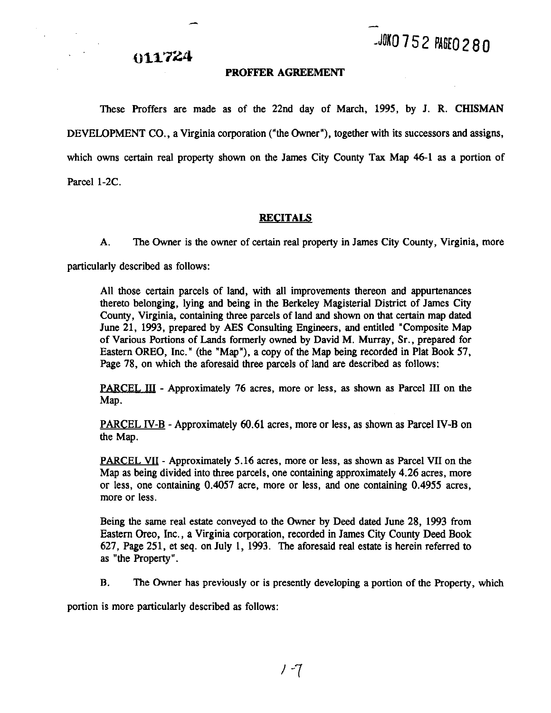### **011724**

#### **PROFFER AGREEMENT**

These Proffers are made as of the 22nd day of March, 1995, by J. R. CHISMAN DEVELOPMENT CO., a Virginia corporation ("the Owner"), together with its successors and assigns, which owns certain real property shown on the James City County **Tax** Map 46-1 as a portion of Parcel 1-2C.

#### **RECITALS**

A. The Owner is the owner of certain real property in James City County, Virginia, more

particularly described as follows:

All those certain parcels of land, with all improvements thereon and appurtenances thereto belonging, lying and being in the Berkeley Magisterial District of James City County, Virginia, containing three parcels of land and shown on that certain map dated June 21, 1993, prepared by AES Consulting Engineers, and entitled "Composite Map of Various Portions of Lands formerly owned by David M. Murray, Sr., prepared for Eastern OREO, Inc." (the "Map"), a copy of the Map being recorded in Plat Book 57, Page 78, on which the aforesaid three parcels of land are described as follows:

PARCEL 111 - Approximately 76 acres, more or less, **as** shown **as** Parcel 111 on the Map.

PARCEL N-B - Approximately 60.61 acres, more or less, as shown as Parcel IV-B on the Map.

PARCEL VII - Approximately 5.16 acres, more or less, as shown as Parcel **VII** on the Map as being divided into three parcels, one containing approximately 4.26 acres, more or less, one containing 0.4057 acre, more or less, and one containing 0.4955 acres, more or less.

Being the same real estate conveyed to the Owner by Deed dated June 28, 1993 from Eastern Oreo, Inc., a Virginia corporation, recorded in James City County **Deed** Book 627, Page 251, et seq. on July 1, 1993. The aforesaid real estate is herein referred to as "the Property".

B. The Owner has previously or is presently developing a portion of the Property, which

portion is more particularly described as follows: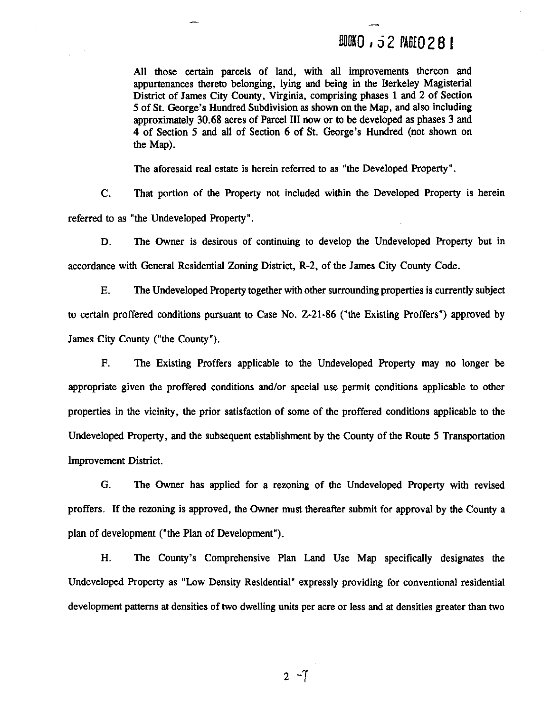### **BOOKQ, 52 PAGEQ 281**

All those certain parcels of land, with all improvements thereon and appurtenances thereto belonging, lying and being in the Berkeley Magisterial District of James City County, Virginia, comprising phases 1 and 2 of Section 5 of St. George's Hundred Subdivision as shown on the Map, and also including approximately 30.68 acres of Parcel **111** now or to be developed as phases 3 and 4 of Section 5 and all of Section 6 of St. George's Hundred (not shown on the Map).

The aforesaid real estate is herein referred to as "the Developed Property".

C. That portion of the Property not included within the Developed Property is herein referred to as "the Undeveloped Property".

D. The Owner is desirous of continuing to develop the Undeveloped Property but in accordance with General Residential Zoning District, R-2, of the James City County Code.

E. The Undeveloped Property together with other surrounding properties is currently subject to certain proffered conditions pursuant to Case No. 2-21-86 ("the Existing Proffers") approved by James City County ("the County").

F. The Existing Proffers applicable to the Undeveloped Property may no longer be appropriate given the proffered conditions andlor special use permit conditions applicable to other properties in the vicinity, the prior satisfaction of some of the proffered conditions applicable to the Undeveloped Property, and the subsequent establishment by the County of the Route 5 Transportation Improvement District.

*G.* The Owner has applied for a rezoning of the Undeveloped Property with revised proffers. If the rezoning is approved, the Owner must thereafter submit for approval by the County a plan of development ("the Plan of Development").

H. The County's Comprehensive Plan Land Use Map specifically designates the Undeveloped Property as "Low Density Residential" expressly providing for conventional residential development patterns at densities of two dwelling units per acre or less and at densities greater than two

 $2 - 7$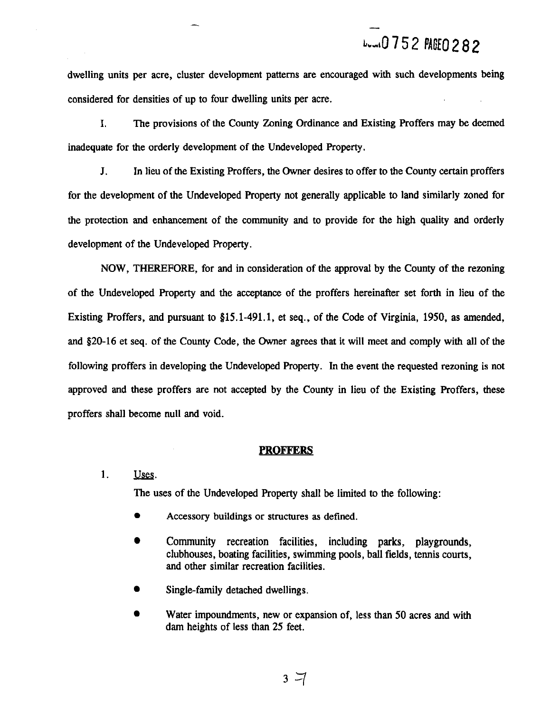# Lux10752 PAGE0282

dwelling units per acre, cluster development patterns are encouraged with such developments being considered for densities of up to four dwelling units per acre.

I. The provisions of the County Zoning Ordinance and Existing Proffers may be deemed inadequate for the orderly development of the Undeveloped Property.

**J.** In lieu of the Existing Proffers, the Owner desires to offer to the County certain proffers for the development of the Undeveloped Property not generally applicable to land similarly zoned for the protection and enhancement of the community and to provide for the high quality and orderly development of the Undeveloped Property.

NOW, THEREFORE, for and in consideration of the approval by the County of the rezoning of the Undeveloped Property and the acceptance of the proffers hereinafter set forth in lieu of the Existing Proffers, and pursuant to 815.1-491.1, et seq., of the Code of Virginia, 1950, as amended, **and** 820-16 et seq. of the County Code, the Owner agrees that it will meet and comply with all of the following proffers in developing the Undeveloped Property. In the event the requested rezoning is not approved and these proffers are not accepted by the County in lieu of the Existing Proffers, these proffers shall become null and void.

#### **PROFFERS**

#### 1. Uses.

The uses of the Undeveloped Property shall be limited to the following:

- Accessory buildings or structures as defined.
- Community recreation facilities, including parks, playgrounds, clubhouses, boating facilities, swimming pools, ball fields, tennis courts, and other similar recreation facilities.
- Single-family detached dwellings.
- Water impoundments, new or expansion of, less than 50 acres and with dam heights of less than 25 feet.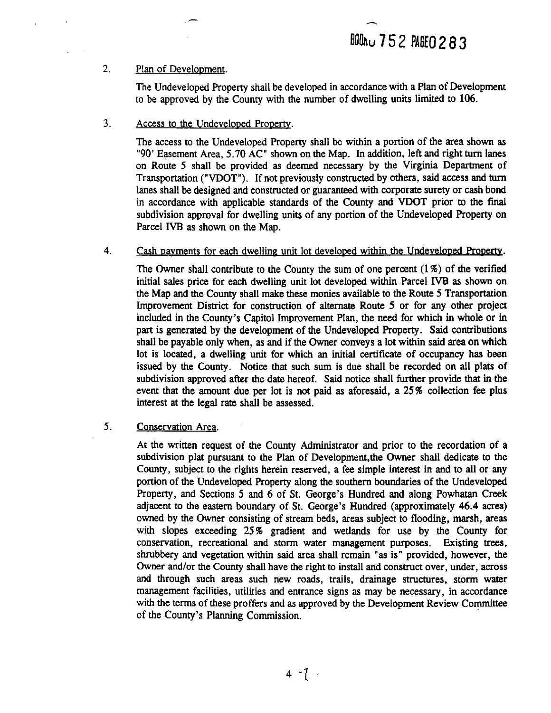#### 2. Plan of Development.

The Undeveloped Property shall be developed in accordance with a Plan of Development to be approved by the County with the number of dwelling units limited to 106.

3. Access to the Undeveloped Property.

The access to the Undeveloped Property shall be within a portion of the area shown as "90' Easement Area, 5.70 AC" shown on the Map. In addition, left and right turn lanes on Route 5 shall be provided as deemed necessary by the Virginia Department of Transportation ("VDOT"). If not previously constructed by others, said access and turn lanes shall be designed and constructed or guaranteed with corporate surety or cash bond in accordance with applicable standards of the County and **VDOT** prior to the **final**  subdivision approval for dwelling units of any portion of the Undeveloped Property on Parcel IVB as shown on the Map.

4. Cash payments for each dwelling unit lot developed within the Undeveloped Property.

The Owner shall contribute to the County the sum of one percent  $(1\%)$  of the verified initial sales price for each dwelling unit lot developed within Parcel IVB as shown on the Map and the County shall make these monies available to the Route 5 Transportation Improvement District for construction of alternate Route 5 or for any other project included in the County's Capitol Improvement Plan, the need for which in whole or in part is generated by the development of the Undeveloped Property. Said contributions shall be payable only when, as and if the Owner conveys a lot within said area on which lot is located, a dwelling unit for which an initial certificate of occupancy has been issued by the County. Notice that such sum is due shall be recorded on all plats of subdivision approved after the date hereof. Said notice shall further provide that in the event that the amount due per lot is not paid as aforesaid, a 25% collection fee plus interest at the legal rate shall be assessed.

#### 5. Conservation Areq.

At the written request of the County Administrator and prior to the recordation of a subdivision plat pursuant to the Plan of Development,the Owner shall dedicate to the County, subject to the rights herein reserved, a fee simple interest in and to all or any portion of the Undeveloped Property along the southern boundaries of the Undeveloped Property, and Sections 5 and 6 of St. George's Hundred and along Powhatan Creek adjacent to the eastern boundary of St. George's Hundred (approximately 46.4 acres) owned by the Owner consisting of stream beds, areas subject to flooding, marsh, areas with slopes exceeding 25% gradient and wetlands for use by the County for conservation, recreational and storm water management purposes. Existing trees, shrubbery and vegetation within said area shall remain "as is" provided, however, the Owner and/or the County shall have the right to install and construct over, under, across and through such areas such new roads, trails, drainage structures, storm water management facilities, utilities and entrance signs as may be necessary, in accordance with the terms of these proffers and as approved by the Development Review Committee of the County's Planning Commission.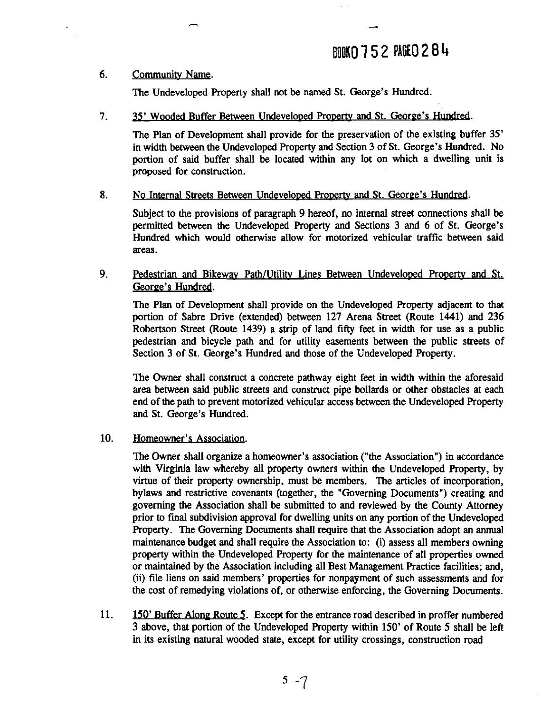### **ANO 752 PAGEO 284**

#### 6. Community **Name.**

The Undeveloped Property shall not be named St. George's Hundred.

#### **7. <b>35'** Wooded Buffer Between Undeveloped Property and St. George's Hundred.

The Plan of Development shall provide for the preservation of the existing buffer 35' in width between the Undeveloped Property and Section **3** of St. George's Hundred. No portion of said buffer shall be located within any lot on which a dwelling unit is proposed for construction.

#### 8. No Internal Streets Between Undeveloped Property and St. George's Hundred.

Subject to the provisions of paragraph 9 hereof, no internal street connections shall be permitted between the Undeveloped Property and Sections **3** and **6** of St. George's Hundred which would otherwise allow for motorized vehicular traffic between said areas.

#### 9. Pedestrian and Bikeway Path/Utility Lines Between Undeveloped Property and St. George's Hundred.

The Plan of Development shall provide on the Undeveloped Property adjacent to that portion of Sabre Drive (extended) between **127** Arena Street (Route 1441) and **236**  Robertson Street (Route **1439)** a strip of land fifty feet in width for use as a public pedestrian and bicycle path and for utility easements between the public streets of Section **3** of St. George's Hundred and those of the Undeveloped Property.

The Owner shall construct a concrete pathway eight feet in width within the aforesaid area between said public streets and construct pipe bollards or other obstacles at each end of the path to prevent motorized vehicular access between the Undeveloped Property and St. George's Hundred.

#### **10.** Homeowner's Association.

The Owner shall organize a homeowner's association ("the Association") in accordance with Virginia law whereby all property owners within the Undeveloped Property, by virtue of their property ownership, must be members. The articles of incorporation, bylaws and restrictive covenants (together, the "Governing Documents") creating and governing the Association shall be submitted to and reviewed by the County Attorney prior to final subdivision approval for dwelling units on any portion of the Undeveloped Property. The Governing Documents shall require that the Association adopt an annual maintenance budget and shall require the Association to: (i) assess all members owning property within the Undeveloped Property for the maintenance of all properties owned or maintained by the Association including all Best Management Practice facilities; and, (ii) file liens on said members' properties for nonpayment of such assessments and for the cost of remedying violations of, or otherwise enforcing, the Governing Documents.

**11. 150'** Buffer Alone Route **5.** Except for the entrance road described in proffer numbered **3** above, that portion of the Undeveloped Property within **150'** of Route **5** shall be left in its existing natural wooded state, except for utility crossings, construction road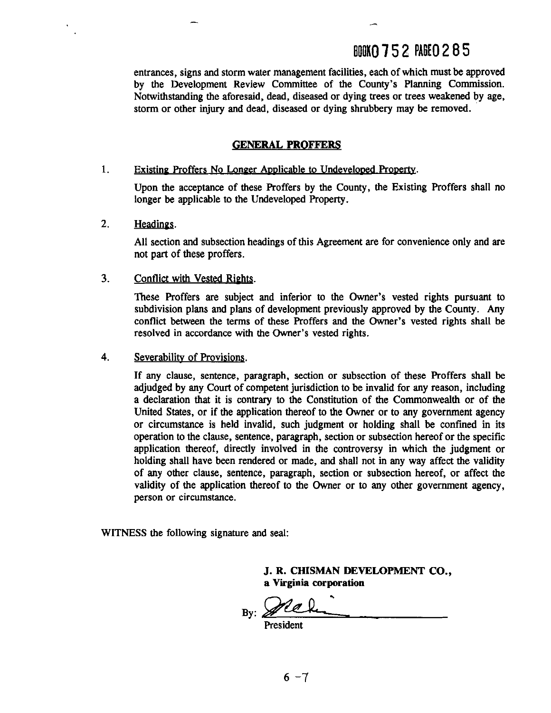### **BOOK0752 PAGE0285**

entrances, signs and storm water management facilities, each of which must be approved by the Development Review Committee of the County's Planning Commission. Notwithstanding the aforesaid, dead, diseased or dying trees or trees weakened by age, storm or other injury and dead, diseased or dying shrubbery may be removed.

#### **GENERAL PROFFERS**

#### $\mathbf{1}$ Existing Proffers No Longer Applicable to Undeveloped Property.

Upon the acceptance of these Proffers by the County, the Existing Proffers shall no longer be applicable to the Undeveloped Property.

 $2.$ Headings.

> All section and subsection headings of this Agreement are for convenience only and are not part of these proffers.

3. Conflict with Vested Rights.

> These Proffers are subject and inferior to the Owner's vested rights pursuant to subdivision plans and plans of development previously approved by the County. Any conflict between the terms of these Proffers and the Owner's vested rights shall be resolved in accordance with the Owner's vested rights.

4. Severability of Provisions.

> If any clause, sentence, paragraph, section or subsection of these Proffers shall be adjudged by any Court of competent jurisdiction to be invalid for any reason, including a declaration that it is contrary to the Constitution of the Commonwealth or of the United States, or if the application thereof to the Owner or to any government agency or circumstance is held invalid, such judgment or holding shall be confined in its operation to the clause, sentence, paragraph, section or subsection hereof or the specific application thereof, directly involved in the controversy in which the judgment or holding shall have been rendered or made, and shall not in any way affect the validity of any other clause, sentence, paragraph, section or subsection hereof, or affect the validity of the application thereof to the Owner or to any other government agency, person or circumstance.

WITNESS the following signature and seal:

**J. R. CHISMAN DEVELOPMENT CO., a Virginia corporation** 

By:

President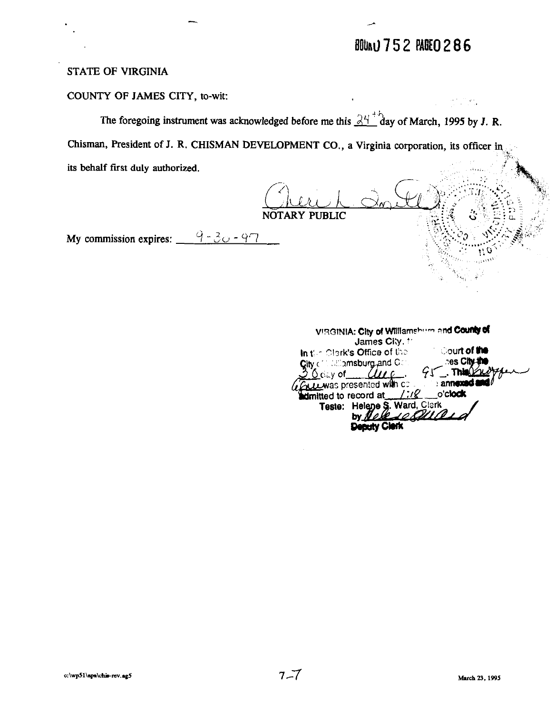## **BOUNU 752 PADEO 286**

### **STATE OF VIRGINIA**

COUNTY OF JAMES CITY, to-wit:

The foregoing instrument was acknowledged before me this  $\mathbb{R}^{n+1}$  day of March, 1995 by J. R.

Chisman, President of J. R. CHISMAN DEVELOPMENT CO., a Virginia corporation, its officer in

its behalf first duly authorized.

NOTARY PUBLIC

My commission expires:  $\frac{9-30-97}{8}$ 

| VIRGINIA: City of Williamshum and County of          |                     |
|------------------------------------------------------|---------------------|
| James City 1                                         |                     |
| In the Clerk's Office of the                         | <b>Court of the</b> |
| City of the allemsburg and Con-                      | <b>es City-the</b>  |
| $30$ day of $\mu$                                    | $95$ . This $022$   |
| <b>Cruze was presented with contain announced as</b> |                     |
| dimitted to record at /:// o'clock                   |                     |
| Teste: Helene S. Ward, Clerk                         |                     |
| by Nell 10 QUAID                                     |                     |
|                                                      |                     |